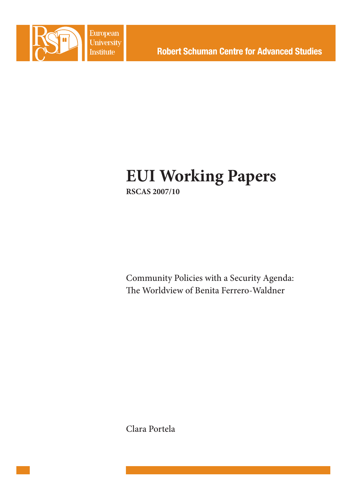

European **University Institute** 

# **EUI Working Papers RSCAS 2007/10**

Community Policies with a Security Agenda: The Worldview of Benita Ferrero-Waldner

Clara Portela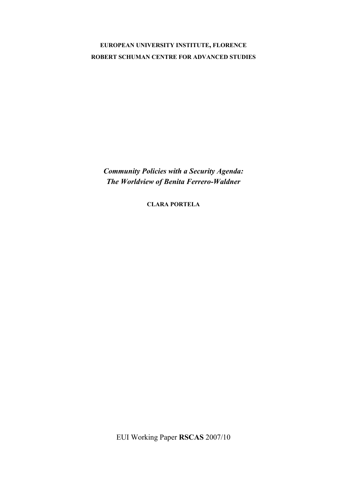# **EUROPEAN UNIVERSITY INSTITUTE, FLORENCE ROBERT SCHUMAN CENTRE FOR ADVANCED STUDIES**

*Community Policies with a Security Agenda: The Worldview of Benita Ferrero-Waldner* 

**CLARA PORTELA**

EUI Working Paper **RSCAS** 2007/10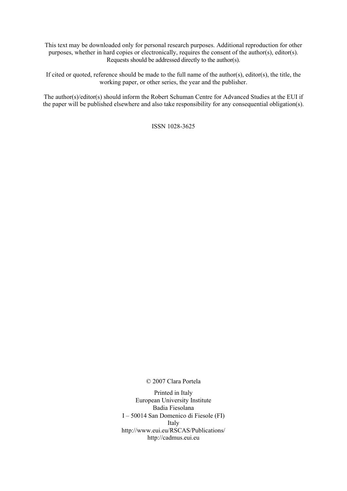This text may be downloaded only for personal research purposes. Additional reproduction for other purposes, whether in hard copies or electronically, requires the consent of the author(s), editor(s). Requests should be addressed directly to the author(s).

If cited or quoted, reference should be made to the full name of the author(s), editor(s), the title, the working paper, or other series, the year and the publisher.

The author(s)/editor(s) should inform the Robert Schuman Centre for Advanced Studies at the EUI if the paper will be published elsewhere and also take responsibility for any consequential obligation(s).

ISSN 1028-3625

© 2007 Clara Portela

Printed in Italy European University Institute Badia Fiesolana I – 50014 San Domenico di Fiesole (FI) Italy [http://www.eui.eu/RSCAS/Publications/](http://www.eui.eu/RSCAS/Publications)  <http://cadmus.eui.eu>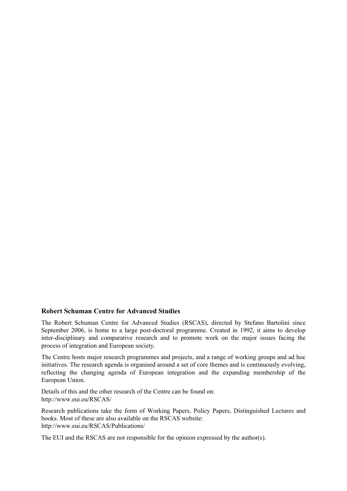#### **Robert Schuman Centre for Advanced Studies**

The Robert Schuman Centre for Advanced Studies (RSCAS), directed by Stefano Bartolini since September 2006, is home to a large post-doctoral programme. Created in 1992, it aims to develop inter-disciplinary and comparative research and to promote work on the major issues facing the process of integration and European society.

The Centre hosts major research programmes and projects, and a range of working groups and ad hoc initiatives. The research agenda is organised around a set of core themes and is continuously evolving, reflecting the changing agenda of European integration and the expanding membership of the European Union.

Details of this and the other research of the Centre can be found on: [http://www.eui.eu/RSCAS/](http://www.eui.eu/RSCAS)

Research publications take the form of Working Papers, Policy Papers, Distinguished Lectures and books. Most of these are also available on the RSCAS website: [http://www.eui.eu/RSCAS/Publications/](http://www.eui.eu/RSCAS/Publications) 

The EUI and the RSCAS are not responsible for the opinion expressed by the author(s).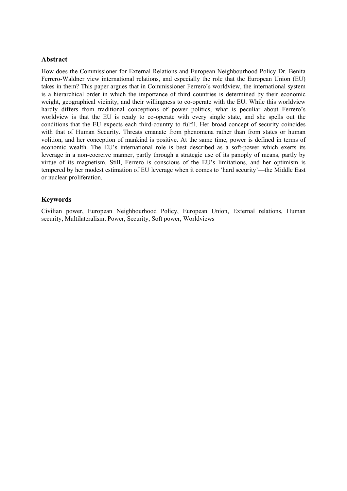#### **Abstract**

How does the Commissioner for External Relations and European Neighbourhood Policy Dr. Benita Ferrero-Waldner view international relations, and especially the role that the European Union (EU) takes in them? This paper argues that in Commissioner Ferrero's worldview, the international system is a hierarchical order in which the importance of third countries is determined by their economic weight, geographical vicinity, and their willingness to co-operate with the EU. While this worldview hardly differs from traditional conceptions of power politics, what is peculiar about Ferrero's worldview is that the EU is ready to co-operate with every single state, and she spells out the conditions that the EU expects each third-country to fulfil. Her broad concept of security coincides with that of Human Security. Threats emanate from phenomena rather than from states or human volition, and her conception of mankind is positive. At the same time, power is defined in terms of economic wealth. The EU's international role is best described as a soft-power which exerts its leverage in a non-coercive manner, partly through a strategic use of its panoply of means, partly by virtue of its magnetism. Still, Ferrero is conscious of the EU's limitations, and her optimism is tempered by her modest estimation of EU leverage when it comes to 'hard security'—the Middle East or nuclear proliferation.

#### **Keywords**

Civilian power, European Neighbourhood Policy, European Union, External relations, Human security, Multilateralism, Power, Security, Soft power, Worldviews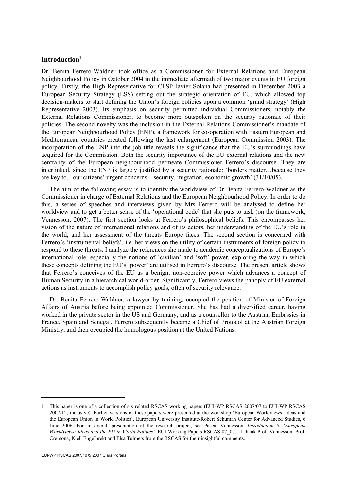#### **Introduction1**

Dr. Benita Ferrero-Waldner took office as a Commissioner for External Relations and European Neighbourhood Policy in October 2004 in the immediate aftermath of two major events in EU foreign policy. Firstly, the High Representative for CFSP Javier Solana had presented in December 2003 a European Security Strategy (ESS) setting out the strategic orientation of EU, which allowed top decision-makers to start defining the Union's foreign policies upon a common 'grand strategy' (High Representative 2003). Its emphasis on security permitted individual Commissioners, notably the External Relations Commissioner, to become more outspoken on the security rationale of their policies. The second novelty was the inclusion in the External Relations Commissioner's mandate of the European Neighbourhood Policy (ENP), a framework for co-operation with Eastern European and Mediterranean countries created following the last enlargement (European Commission 2003). The incorporation of the ENP into the job title reveals the significance that the EU's surroundings have acquired for the Commission. Both the security importance of the EU external relations and the new centrality of the European neighbourhood permeate Commissioner Ferrero's discourse. They are interlinked, since the ENP is largely justified by a security rationale: 'borders matter…because they are key to…our citizens' urgent concerns—security, migration, economic growth' (31/10/05).

The aim of the following essay is to identify the worldview of Dr Benita Ferrero-Waldner as the Commissioner in charge of External Relations and the European Neighbourhood Policy. In order to do this, a series of speeches and interviews given by Mrs Ferrero will be analysed to define her worldview and to get a better sense of the 'operational code' that she puts to task (on the framework, Vennesson, 2007). The first section looks at Ferrero's philosophical beliefs. This encompasses her vision of the nature of international relations and of its actors, her understanding of the EU's role in the world, and her assessment of the threats Europe faces. The second section is concerned with Ferrero's 'instrumental beliefs', i.e. her views on the utility of certain instruments of foreign policy to respond to these threats. I analyze the references she made to academic conceptualizations of Europe's international role, especially the notions of 'civilian' and 'soft' power, exploring the way in which these concepts defining the EU's 'power' are utilised in Ferrero's discourse. The present article shows that Ferrero's conceives of the EU as a benign, non-coercive power which advances a concept of Human Security in a hierarchical world-order. Significantly, Ferrero views the panoply of EU external actions as instruments to accomplish policy goals, often of security relevance.

Dr. Benita Ferrero-Waldner, a lawyer by training, occupied the position of Minister of Foreign Affairs of Austria before being appointed Commissioner. She has had a diversified career, having worked in the private sector in the US and Germany, and as a counsellor to the Austrian Embassies in France, Spain and Senegal. Ferrero subsequently became a Chief of Protocol at the Austrian Foreign Ministry, and then occupied the homologous position at the United Nations.

-

<sup>1</sup> This paper is one of a collection of six related RSCAS working papers (EUI-WP RSCAS 2007/07 to EUI-WP RSCAS 2007/12, inclusive). Earlier versions of these papers were presented at the workshop 'European Worldviews: Ideas and the European Union in World Politics', European University Institute-Robert Schuman Center for Advanced Studies, 6 June 2006. For an overall presentation of the research project, see Pascal Vennesson, *Introduction to 'European Worldviews: Ideas and the EU in World Politics',* EUI Working Papers RSCAS 07\_07. I thank Prof. Vennesson, Prof. Cremona, Kjell Engelbrekt and Elsa Tulmets from the RSCAS for their insightful comments.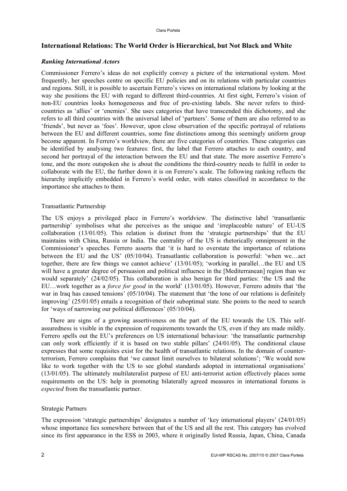# **International Relations: The World Order is Hierarchical, but Not Black and White**

#### *Ranking International Actors*

Commissioner Ferrero's ideas do not explicitly convey a picture of the international system. Most frequently, her speeches centre on specific EU policies and on its relations with particular countries and regions. Still, it is possible to ascertain Ferrero's views on international relations by looking at the way she positions the EU with regard to different third-countries. At first sight, Ferrero's vision of non-EU countries looks homogeneous and free of pre-existing labels. She never refers to thirdcountries as 'allies' or 'enemies'. She uses categories that have transcended this dichotomy, and she refers to all third countries with the universal label of 'partners'. Some of them are also referred to as 'friends', but never as 'foes'. However, upon close observation of the specific portrayal of relations between the EU and different countries, some fine distinctions among this seemingly uniform group become apparent. In Ferrero's worldview, there are five categories of countries. These categories can be identified by analysing two features: first, the label that Ferrero attaches to each country, and second her portrayal of the interaction between the EU and that state. The more assertive Ferrero's tone, and the more outspoken she is about the conditions the third-country needs to fulfil in order to collaborate with the EU, the further down it is on Ferrero's scale. The following ranking reflects the hierarchy implicitly embedded in Ferrero's world order, with states classified in accordance to the importance she attaches to them.

#### Transatlantic Partnership

The US enjoys a privileged place in Ferrero's worldview. The distinctive label 'transatlantic partnership' symbolises what she perceives as the unique and 'irreplaceable nature' of EU-US collaboration (13/01/05). This relation is distinct from the 'strategic partnerships' that the EU maintains with China, Russia or India. The centrality of the US is rhetorically omnipresent in the Commissioner's speeches. Ferrero asserts that 'it is hard to overstate the importance of relations between the EU and the US' (05/10/04). Transatlantic collaboration is powerful: 'when we…act together, there are few things we cannot achieve' (13/01/05); 'working in parallel…the EU and US will have a greater degree of persuasion and political influence in the [Mediterranean] region than we would separately' (24/02/05). This collaboration is also benign for third parties: 'the US and the EU…work together as a *force for good* in the world' (13/01/05). However, Ferrero admits that 'the war in Iraq has caused tensions' (05/10/04). The statement that 'the tone of our relations is definitely improving' (25/01/05) entails a recognition of their suboptimal state. She points to the need to search for 'ways of narrowing our political differences' (05/10/04).

There are signs of a growing assertiveness on the part of the EU towards the US. This selfassuredness is visible in the expression of requirements towards the US, even if they are made mildly. Ferrero spells out the EU's preferences on US international behaviour: 'the transatlantic partnership can only work efficiently if it is based on two stable pillars' (24/01/05). The conditional clause expresses that some requisites exist for the health of transatlantic relations. In the domain of counterterrorism, Ferrero complains that 'we cannot limit ourselves to bilateral solutions'; 'We would now like to work together with the US to see global standards adopted in international organisations' (13/01/05). The ultimately multilateralist purpose of EU anti-terrorist action effectively places some requirements on the US: help in promoting bilaterally agreed measures in international forums is *expected* from the transatlantic partner.

#### Strategic Partners

The expression 'strategic partnerships' designates a number of 'key international players' (24/01/05) whose importance lies somewhere between that of the US and all the rest. This category has evolved since its first appearance in the ESS in 2003, where it originally listed Russia, Japan, China, Canada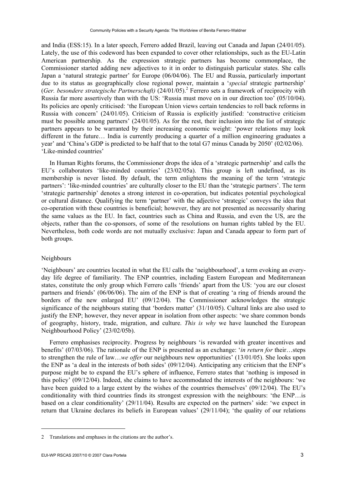and India (ESS:15). In a later speech, Ferrero added Brazil, leaving out Canada and Japan (24/01/05). Lately, the use of this codeword has been expanded to cover other relationships, such as the EU-Latin American partnership. As the expression strategic partners has become commonplace, the Commissioner started adding new adjectives to it in order to distinguish particular states. She calls Japan a 'natural strategic partner' for Europe (06/04/06). The EU and Russia, particularly important due to its status as geographically close regional power, maintain a '*special* strategic partnership' (Ger. besondere strategische Partnerschaft) (24/01/05).<sup>2</sup> Ferrero sets a framework of reciprocity with Russia far more assertively than with the US: 'Russia must move on in our direction too' (05/10/04). Its policies are openly criticised: 'the European Union views certain tendencies to roll back reforms in Russia with concern' (24/01/05). Criticism of Russia is explicitly justified: 'constructive criticism must be possible among partners' (24/01/05). As for the rest, their inclusion into the list of strategic partners appears to be warranted by their increasing economic weight: 'power relations may look different in the future… India is currently producing a quarter of a million engineering graduates a year' and 'China's GDP is predicted to be half that to the total G7 minus Canada by 2050' (02/02/06). 'Like-minded countries'

In Human Rights forums, the Commissioner drops the idea of a 'strategic partnership' and calls the EU's collaborators 'like-minded countries' (23/02/05a). This group is left undefined, as its membership is never listed. By default, the term enlightens the meaning of the term 'strategic partners': 'like-minded countries' are culturally closer to the EU than the 'strategic partners'. The term 'strategic partnership' denotes a strong interest in co-operation, but indicates potential psychological or cultural distance. Qualifying the term 'partner' with the adjective 'strategic' conveys the idea that co-operation with these countries is beneficial; however, they are not presented as necessarily sharing the same values as the EU. In fact, countries such as China and Russia, and even the US, are the objects, rather than the co-sponsors, of some of the resolutions on human rights tabled by the EU. Nevertheless, both code words are not mutually exclusive: Japan and Canada appear to form part of both groups.

#### Neighbours

'Neighbours' are countries located in what the EU calls the 'neighbourhood', a term evoking an everyday life degree of familiarity. The ENP countries, including Eastern European and Mediterranean states, constitute the only group which Ferrero calls 'friends' apart from the US: 'you are our closest partners and friends' (06/06/06). The aim of the ENP is that of creating 'a ring of friends around the borders of the new enlarged EU' (09/12/04). The Commissioner acknowledges the strategic significance of the neighbours stating that 'borders matter' (31/10/05). Cultural links are also used to justify the ENP; however, they never appear in isolation from other aspects: 'we share common bonds of geography, history, trade, migration, and culture. *This is why* we have launched the European Neighbourhood Policy' (23/02/05b).

Ferrero emphasises reciprocity. Progress by neighbours 'is rewarded with greater incentives and benefits' (07/03/06). The rationale of the ENP is presented as an exchange: '*in return for* their…steps to strengthen the rule of law…*we offer* our neighbours new opportunities' (13/01/05). She looks upon the ENP as 'a deal in the interests of both sides' (09/12/04). Anticipating any criticism that the ENP's purpose might be to expand the EU's sphere of influence, Ferrero states that 'nothing is imposed in this policy' (09/12/04). Indeed, she claims to have accommodated the interests of the neighbours: 'we have been guided to a large extent by the wishes of the countries themselves' (09/12/04). The EU's conditionality with third countries finds its strongest expression with the neighbours: 'the ENP…is based on a clear conditionality' (29/11/04). Results are expected on the partners' side: 'we expect in return that Ukraine declares its beliefs in European values' (29/11/04); 'the quality of our relations

1

<sup>2</sup> Translations and emphases in the citations are the author's.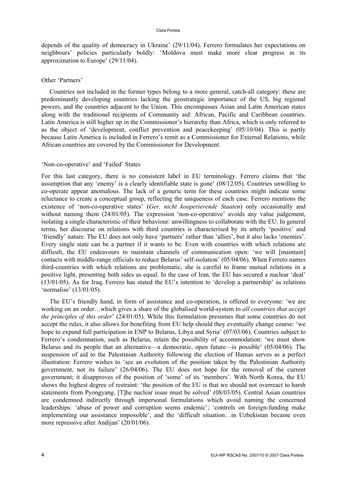#### Clara Portela

depends of the quality of democracy in Ukraine' (29/11/04). Ferrero formulates her expectations on neighbours' policies particularly boldly: 'Moldova must make more clear progress in its approximation to Europe' (29/11/04).

#### Other 'Partners'

Countries not included in the former types belong to a more general, catch-all category: these are predominantly developing countries lacking the geostrategic importance of the US, big regional powers, and the countries adjacent to the Union. This encompasses Asian and Latin American states along with the traditional recipients of Community aid: African, Pacific and Caribbean countries. Latin America is still higher up in the Commissioner's hierarchy than Africa, which is only referred to as the object of 'development, conflict prevention and peacekeeping' (05/10/04). This is partly because Latin America is included in Ferrero's remit as a Commissioner for External Relations, while African countries are covered by the Commissioner for Development.

#### 'Non-co-operative' and 'Failed' States

For this last category, there is no consistent label in EU terminology. Ferrero claims that 'the assumption that any 'enemy' is a clearly identifiable state is gone' (08/12/05). Countries unwilling to co-operate appear anomalous. The lack of a generic term for these countries might indicate some reluctance to create a conceptual group, reflecting the uniqueness of each case. Ferrero mentions the existence of 'non-co-operative states' (*Ger. nicht kooperierende Staaten*) only occasionally and without naming them (24/01/05). The expression 'non-co-operative' avoids any value judgement, isolating a single characteristic of their behaviour: unwillingness to collaborate with the EU. In general terms, her discourse on relations with third countries is characterised by its utterly 'positive' and 'friendly' nature. The EU does not only have 'partners' rather than 'allies', but it also lacks 'enemies'. Every single state can be a partner if it wants to be. Even with countries with which relations are difficult, the EU endeavours to maintain channels of communication open: 'we will [maintain] contacts with middle-range officials to reduce Belarus' self-isolation' (05/04/06). When Ferrero names third-countries with which relations are problematic, she is careful to frame mutual relations in a positive light, presenting both sides as equal. In the case of Iran, the EU has secured a nuclear 'deal' (13/01/05). As for Iraq, Ferrero has stated the EU's intention to 'develop a partnership' as relations 'normalise' (13/01/05).

The EU's friendly hand, in form of assistance and co-operation, is offered to everyone: 'we are working on an order…which gives a share of the globalised world-system to *all countries that accept the principles of this order*' (24/01/05). While this formulation presumes that some countries do not accept the rules, it also allows for benefiting from EU help should they eventually change course: 'we hope to expand full participation in ENP to Belarus, Libya and Syria' (07/03/06). Countries subject to Ferrero's condemnation, such as Belarus, retain the possibility of accommodation: 'we must show Belarus and its people that an alternative—a democratic, open future—is possible' (05/04/06). The suspension of aid to the Palestinian Authority following the election of Hamas serves as a perfect illustration: Ferrero wishes to 'see an evolution of the position taken by the Palestinian Authority government, not its failure' (26/04/06). The EU does not hope for the removal of the current government; it disapproves of the position of 'some' of its 'members'. With North Korea, the EU shows the highest degree of restraint: 'the position of the EU is that we should not overreact to harsh statements from Pyongyang. [T]he nuclear issue must be solved' (08/03/05). Central Asian countries are condemned indirectly through impersonal formulations which avoid naming the concerned leaderships: 'abuse of power and corruption seems endemic'; 'controls on foreign-funding make implementing our assistance impossible', and the 'difficult situation…in Uzbekistan became even more repressive after Andijan' (20/01/06).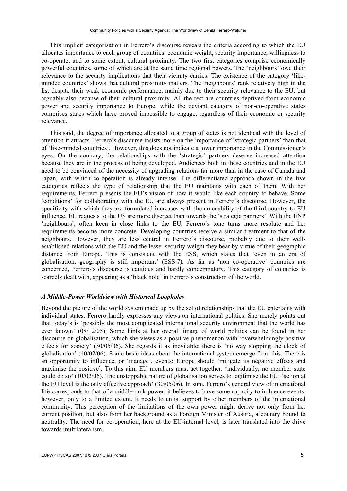This implicit categorisation in Ferrero's discourse reveals the criteria according to which the EU allocates importance to each group of countries: economic weight, security importance, willingness to co-operate, and to some extent, cultural proximity. The two first categories comprise economically powerful countries, some of which are at the same time regional powers. The 'neighbours' owe their relevance to the security implications that their vicinity carries. The existence of the category 'likeminded countries' shows that cultural proximity matters. The 'neighbours' rank relatively high in the list despite their weak economic performance, mainly due to their security relevance to the EU, but arguably also because of their cultural proximity. All the rest are countries deprived from economic power and security importance to Europe, while the deviant category of non-co-operative states comprises states which have proved impossible to engage, regardless of their economic or security relevance.

This said, the degree of importance allocated to a group of states is not identical with the level of attention it attracts. Ferrero's discourse insists more on the importance of 'strategic partners' than that of 'like-minded countries'. However, this does not indicate a lower importance in the Commissioner's eyes. On the contrary, the relationships with the 'strategic' partners deserve increased attention because they are in the process of being developed. Audiences both in these countries and in the EU need to be convinced of the necessity of upgrading relations far more than in the case of Canada and Japan, with which co-operation is already intense. The differentiated approach shown in the five categories reflects the type of relationship that the EU maintains with each of them. With her requirements, Ferrero presents the EU's vision of how it would like each country to behave. Some 'conditions' for collaborating with the EU are always present in Ferrero's discourse. However, the specificity with which they are formulated increases with the amenability of the third-country to EU influence. EU requests to the US are more discreet than towards the 'strategic partners'. With the ENP 'neighbours', often keen in close links to the EU, Ferrero's tone turns more resolute and her requirements become more concrete. Developing countries receive a similar treatment to that of the neighbours. However, they are less central in Ferrero's discourse, probably due to their wellestablished relations with the EU and the lesser security weight they bear by virtue of their geographic distance from Europe. This is consistent with the ESS, which states that 'even in an era of globalisation, geography is still important' (ESS:7). As far as 'non co-operative' countries are concerned, Ferrero's discourse is cautious and hardly condemnatory. This category of countries is scarcely dealt with, appearing as a 'black hole' in Ferrero's construction of the world.

#### *A Middle-Power Worldview with Historical Loopholes*

Beyond the picture of the world system made up by the set of relationships that the EU entertains with individual states, Ferrero hardly expresses any views on international politics. She merely points out that today's is 'possibly the most complicated international security environment that the world has ever known' (08/12/05). Some hints at her overall image of world politics can be found in her discourse on globalisation, which she views as a positive phenomenon with 'overwhelmingly positive effects for society' (30/05/06). She regards it as inevitable: there is 'no way stopping the clock of globalisation' (10/02/06). Some basic ideas about the international system emerge from this. There is an opportunity to influence, or 'manage', events: Europe should 'mitigate its negative effects and maximise the positive'. To this aim, EU members must act together: 'individually, no member state could do so' (10/02/06). The unstoppable nature of globalisation serves to legitimise the EU: 'action at the EU level is the only effective approach' (30/05/06). In sum, Ferrero's general view of international life corresponds to that of a middle-rank power: it believes to have some capacity to influence events; however, only to a limited extent. It needs to enlist support by other members of the international community. This perception of the limitations of the own power might derive not only from her current position, but also from her background as a Foreign Minister of Austria, a country bound to neutrality. The need for co-operation, here at the EU-internal level, is later translated into the drive towards multilateralism.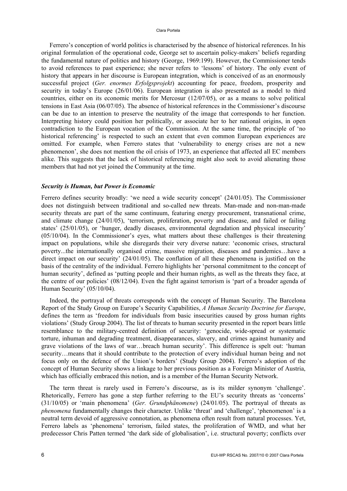#### Clara Portela

Ferrero's conception of world politics is characterised by the absence of historical references. In his original formulation of the operational code, George set to ascertain policy-makers' beliefs regarding the fundamental nature of politics and history (George, 1969:199). However, the Commissioner tends to avoid references to past experience; she never refers to 'lessons' of history. The only event of history that appears in her discourse is European integration, which is conceived of as an enormously successful project (*Ger. enormes Erfolgsprojekt*) accounting for peace, freedom, prosperity and security in today's Europe (26/01/06). European integration is also presented as a model to third countries, either on its economic merits for Mercosur (12/07/05), or as a means to solve political tensions in East Asia (06/07/05). The absence of historical references in the Commissioner's discourse can be due to an intention to preserve the neutrality of the image that corresponds to her function. Interpreting history could position her politically, or associate her to her national origins, in open contradiction to the European vocation of the Commission. At the same time, the principle of 'no historical referencing' is respected to such an extent that even common European experiences are omitted. For example, when Ferrero states that 'vulnerability to energy crises are not a new phenomenon', she does not mention the oil crisis of 1973, an experience that affected all EC members alike. This suggests that the lack of historical referencing might also seek to avoid alienating those members that had not yet joined the Community at the time.

#### *Security is Human, but Power is Economic*

Ferrero defines security broadly: 'we need a wide security concept' (24/01/05). The Commissioner does not distinguish between traditional and so-called new threats. Man-made and non-man-made security threats are part of the same continuum, featuring energy procurement, transnational crime, and climate change (24/01/05), 'terrorism, proliferation, poverty and disease, and failed or failing states' (25/01/05), or 'hunger, deadly diseases, environmental degradation and physical insecurity' (05/10/04). In the Commissioner's eyes, what matters about these challenges is their threatening impact on populations, while she disregards their very diverse nature: 'economic crises, structural poverty...the internationally organised crime, massive migration, diseases and pandemics…have a direct impact on our security' (24/01/05). The conflation of all these phenomena is justified on the basis of the centrality of the individual. Ferrero highlights her 'personal commitment to the concept of human security', defined as 'putting people and their human rights, as well as the threats they face, at the centre of our policies' (08/12/04). Even the fight against terrorism is 'part of a broader agenda of Human Security' (05/10/04).

Indeed, the portrayal of threats corresponds with the concept of Human Security. The Barcelona Report of the Study Group on Europe's Security Capabilities, *A Human Security Doctrine for Europe*, defines the term as 'freedom for individuals from basic insecurities caused by gross human rights violations' (Study Group 2004). The list of threats to human security presented in the report bears little resemblance to the military-centred definition of security: 'genocide, wide-spread or systematic torture, inhuman and degrading treatment, disappearances, slavery, and crimes against humanity and grave violations of the laws of war…breach human security'. This difference is spelt out: 'human security… means that it should contribute to the protection of every individual human being and not focus only on the defence of the Union's borders' (Study Group 2004). Ferrero's adoption of the concept of Human Security shows a linkage to her previous position as a Foreign Minister of Austria, which has officially embraced this notion, and is a member of the Human Security Network.

The term threat is rarely used in Ferrero's discourse, as is its milder synonym 'challenge'. Rhetorically, Ferrero has gone a step further referring to the EU's security threats as 'concerns' (31/10/05) or 'main phenomena' (*Ger. Grundphänomene*) (24/01/05). The portrayal of threats as *phenomena* fundamentally changes their character. Unlike 'threat' and 'challenge', 'phenomenon' is a neutral term devoid of aggressive connotation, as phenomena often result from natural processes. Yet, Ferrero labels as 'phenomena' terrorism, failed states, the proliferation of WMD, and what her predecessor Chris Patten termed 'the dark side of globalisation', i.e. structural poverty; conflicts over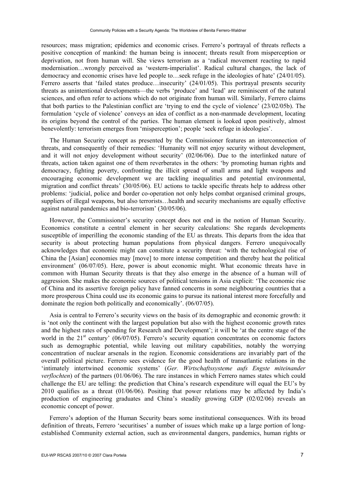resources; mass migration; epidemics and economic crises. Ferrero's portrayal of threats reflects a positive conception of mankind: the human being is innocent; threats result from misperception or deprivation, not from human will. She views terrorism as a 'radical movement reacting to rapid modernisation…wrongly perceived as 'western-imperialist'. Radical cultural changes, the lack of democracy and economic crises have led people to…seek refuge in the ideologies of hate' (24/01/05). Ferrero asserts that 'failed states produce...insecurity' (24/01/05). This portrayal presents security threats as unintentional developments—the verbs 'produce' and 'lead' are reminiscent of the natural sciences, and often refer to actions which do not originate from human will. Similarly, Ferrero claims that both parties to the Palestinian conflict are 'trying to end the cycle of violence' (23/02/05b). The formulation 'cycle of violence' conveys an idea of conflict as a non-manmade development, locating its origins beyond the control of the parties. The human element is looked upon positively, almost benevolently: terrorism emerges from 'misperception'; people 'seek refuge in ideologies'.

The Human Security concept as presented by the Commissioner features an interconnection of threats, and consequently of their remedies: 'Humanity will not enjoy security without development, and it will not enjoy development without security' (02/06/06). Due to the interlinked nature of threats, action taken against one of them reverberates in the others: 'by promoting human rights and democracy, fighting poverty, confronting the illicit spread of small arms and light weapons and encouraging economic development we are tackling inequalities and potential environmental, migration and conflict threats' (30/05/06). EU actions to tackle specific threats help to address other problems: 'judicial, police and border co-operation not only helps combat organised criminal groups, suppliers of illegal weapons, but also terrorists…health and security mechanisms are equally effective against natural pandemics and bio-terrorism' (30/05/06).

However, the Commissioner's security concept does not end in the notion of Human Security. Economics constitute a central element in her security calculations: She regards developments susceptible of imperilling the economic standing of the EU as threats. This departs from the idea that security is about protecting human populations from physical dangers. Ferrero unequivocally acknowledges that economic might can constitute a security threat: 'with the technological rise of China the [Asian] economies may [move] to more intense competition and thereby heat the political environment' (06/07/05). Here, power is about economic might. What economic threats have in common with Human Security threats is that they also emerge in the absence of a human will of aggression. She makes the economic sources of political tensions in Asia explicit: 'The economic rise of China and its assertive foreign policy have fanned concerns in some neighbouring countries that a more prosperous China could use its economic gains to pursue its national interest more forcefully and dominate the region both politically and economically'. (06/07/05).

Asia is central to Ferrero's security views on the basis of its demographic and economic growth: it is 'not only the continent with the largest population but also with the highest economic growth rates and the highest rates of spending for Research and Development'; it will be 'at the centre stage of the world in the  $21<sup>st</sup>$  century' (06/07/05). Ferrero's security equation concentrates on economic factors such as demographic potential, while leaving out military capabilities, notably the worrying concentration of nuclear arsenals in the region. Economic considerations are invariably part of the overall political picture. Ferrero sees evidence for the good health of transatlantic relations in the 'intimately intertwined economic systems' (*Ger. Wirtschaftssysteme aufs Engste miteinander verflochten*) of the partners (01/06/06). The rare instances in which Ferrero names states which could challenge the EU are telling: the prediction that China's research expenditure will equal the EU's by 2010 qualifies as a threat (01/06/06). Positing that power relations may be affected by India's production of engineering graduates and China's steadily growing GDP (02/02/06) reveals an economic concept of power.

Ferrero's adoption of the Human Security bears some institutional consequences. With its broad definition of threats, Ferrero 'securitises' a number of issues which make up a large portion of longestablished Community external action, such as environmental dangers, pandemics, human rights or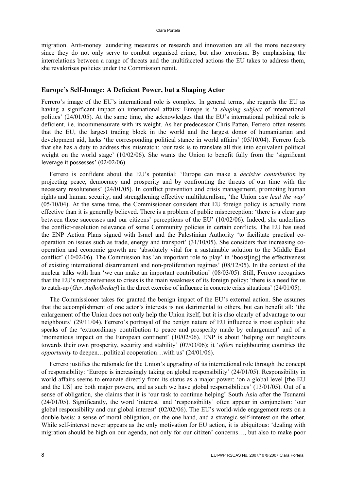migration. Anti-money laundering measures or research and innovation are all the more necessary since they do not only serve to combat organised crime, but also terrorism. By emphasising the interrelations between a range of threats and the multifaceted actions the EU takes to address them, she revalorises policies under the Commission remit.

#### **Europe's Self-Image: A Deficient Power, but a Shaping Actor**

Ferrero's image of the EU's international role is complex. In general terms, she regards the EU as having a significant impact on international affairs: Europe is 'a *shaping subject* of international politics' (24/01/05). At the same time, she acknowledges that the EU's international political role is deficient, i.e. incommensurate with its weight. As her predecessor Chris Patten, Ferrero often resents that the EU, the largest trading block in the world and the largest donor of humanitarian and development aid, lacks 'the corresponding political stance in world affairs' (05/10/04). Ferrero feels that she has a duty to address this mismatch: 'our task is to translate all this into equivalent political weight on the world stage' (10/02/06). She wants the Union to benefit fully from the 'significant leverage it possesses' (02/02/06).

Ferrero is confident about the EU's potential: 'Europe can make a *decisive contribution* by projecting peace, democracy and prosperity and by confronting the threats of our time with the necessary resoluteness' (24/01/05). In conflict prevention and crisis management, promoting human rights and human security, and strengthening effective multilateralism, 'the Union *can lead the way*' (05/10/04). At the same time, the Commissioner considers that EU foreign policy is actually more effective than it is generally believed. There is a problem of public misperception: 'there is a clear gap between these successes and our citizens' perceptions of the EU' (10/02/06). Indeed, she underlines the conflict-resolution relevance of some Community policies in certain conflicts. The EU has used the ENP Action Plans signed with Israel and the Palestinian Authority 'to facilitate practical cooperation on issues such as trade, energy and transport' (31/10/05). She considers that increasing cooperation and economic growth are 'absolutely vital for a sustainable solution to the Middle East conflict' (10/02/06). The Commission has 'an important role to play' in 'boost[ing] the effectiveness of existing international disarmament and non-proliferation regimes' (08/12/05). In the context of the nuclear talks with Iran 'we can make an important contribution' (08/03/05). Still, Ferrero recognises that the EU's responsiveness to crises is the main weakness of its foreign policy: 'there is a need for us to catch-up (*Ger. Aufholbedarf*) in the direct exercise of influence in concrete crisis situations' (24/01/05).

The Commissioner takes for granted the benign impact of the EU's external action. She assumes that the accomplishment of one actor's interests is not detrimental to others, but can benefit all: 'the enlargement of the Union does not only help the Union itself, but it is also clearly of advantage to our neighbours' (29/11/04). Ferrero's portrayal of the benign nature of EU influence is most explicit: she speaks of the 'extraordinary contribution to peace and prosperity made by enlargement' and of a 'momentous impact on the European continent' (10/02/06). ENP is about 'helping our neighbours towards their own prosperity, security and stability' (07/03/06); it '*offers* neighbouring countries the *opportunity* to deepen…political cooperation…with us' (24/01/06).

Ferrero justifies the rationale for the Union's upgrading of its international role through the concept of responsibility: 'Europe is increasingly taking on global responsibility' (24/01/05). Responsibility in world affairs seems to emanate directly from its status as a major power: 'on a global level [the EU and the US] are both major powers, and as such we have global responsibilities' (13/01/05). Out of a sense of obligation, she claims that it is 'our task to continue helping' South Asia after the Tsunami (24/01/05). Significantly, the word 'interest' and 'responsibility' often appear in conjunction: 'our global responsibility and our global interest' (02/02/06). The EU's world-wide engagement rests on a double basis: a sense of moral obligation, on the one hand, and a strategic self-interest on the other. While self-interest never appears as the only motivation for EU action, it is ubiquitous: 'dealing with migration should be high on our agenda, not only for our citizen' concerns…, but also to make poor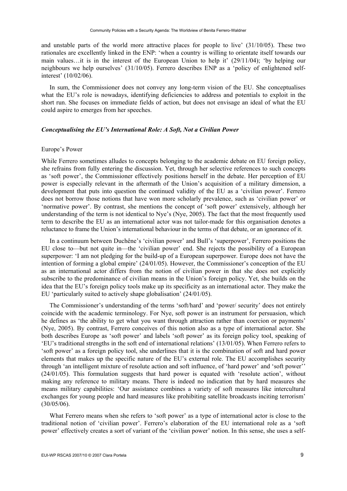and unstable parts of the world more attractive places for people to live' (31/10/05). These two rationales are excellently linked in the ENP: 'when a country is willing to orientate itself towards our main values…it is in the interest of the European Union to help it' (29/11/04); 'by helping our neighbours we help ourselves' (31/10/05). Ferrero describes ENP as a 'policy of enlightened selfinterest' (10/02/06).

In sum, the Commissioner does not convey any long-term vision of the EU. She conceptualises what the EU's role is nowadays, identifying deficiencies to address and potentials to exploit in the short run. She focuses on immediate fields of action, but does not envisage an ideal of what the EU could aspire to emerges from her speeches.

#### *Conceptualising the EU's International Role: A Soft, Not a Civilian Power*

#### Europe's Power

While Ferrero sometimes alludes to concepts belonging to the academic debate on EU foreign policy, she refrains from fully entering the discussion. Yet, through her selective references to such concepts as 'soft power', the Commissioner effectively positions herself in the debate. Her perception of EU power is especially relevant in the aftermath of the Union's acquisition of a military dimension, a development that puts into question the continued validity of the EU as a 'civilian power'. Ferrero does not borrow those notions that have won more scholarly prevalence, such as 'civilian power' or 'normative power'. By contrast, she mentions the concept of 'soft power' extensively, although her understanding of the term is not identical to Nye's (Nye, 2005). The fact that the most frequently used term to describe the EU as an international actor was not tailor-made for this organisation denotes a reluctance to frame the Union's international behaviour in the terms of that debate, or an ignorance of it.

In a continuum between Duchêne's 'civilian power' and Bull's 'superpower', Ferrero positions the EU close to—but not quite in—the 'civilian power' end. She rejects the possibility of a European superpower: 'I am not pledging for the build-up of a European superpower. Europe does not have the intention of forming a global empire' (24/01/05). However, the Commissioner's conception of the EU as an international actor differs from the notion of civilian power in that she does not explicitly subscribe to the predominance of civilian means in the Union's foreign policy. Yet, she builds on the idea that the EU's foreign policy tools make up its specificity as an international actor. They make the EU 'particularly suited to actively shape globalisation' (24/01/05).

The Commissioner's understanding of the terms 'soft/hard' and 'power/ security' does not entirely coincide with the academic terminology. For Nye, soft power is an instrument for persuasion, which he defines as 'the ability to get what you want through attraction rather than coercion or payments' (Nye, 2005). By contrast, Ferrero conceives of this notion also as a type of international actor. She both describes Europe as 'soft power' and labels 'soft power' as its foreign policy tool, speaking of 'EU's traditional strengths in the soft end of international relations' (13/01/05). When Ferrero refers to 'soft power' as a foreign policy tool, she underlines that it is the combination of soft and hard power elements that makes up the specific nature of the EU's external role. The EU accomplishes security through 'an intelligent mixture of resolute action and soft influence, of 'hard power' and 'soft power'' (24/01/05). This formulation suggests that hard power is equated with 'resolute action', without making any reference to military means. There is indeed no indication that by hard measures she means military capabilities: 'Our assistance combines a variety of soft measures like intercultural exchanges for young people and hard measures like prohibiting satellite broadcasts inciting terrorism' (30/05/06).

What Ferrero means when she refers to 'soft power' as a type of international actor is close to the traditional notion of 'civilian power'. Ferrero's elaboration of the EU international role as a 'soft power' effectively creates a sort of variant of the 'civilian power' notion. In this sense, she uses a self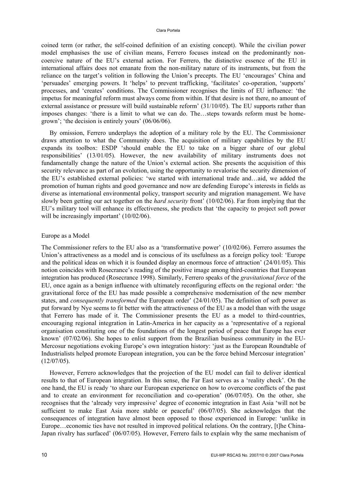coined term (or rather, the self-coined definition of an existing concept). While the civilian power model emphasises the use of civilian means, Ferrero focuses instead on the predominantly noncoercive nature of the EU's external action. For Ferrero, the distinctive essence of the EU in international affairs does not emanate from the non-military nature of its instruments, but from the reliance on the target's volition in following the Union's precepts. The EU 'encourages' China and 'persuades' emerging powers. It 'helps' to prevent trafficking, 'facilitates' co-operation, 'supports' processes, and 'creates' conditions. The Commissioner recognises the limits of EU influence: 'the impetus for meaningful reform must always come from within. If that desire is not there, no amount of external assistance or pressure will build sustainable reform' (31/10/05). The EU supports rather than imposes changes: 'there is a limit to what we can do. The…steps towards reform must be homegrown'; 'the decision is entirely yours' (06/06/06).

By omission, Ferrero underplays the adoption of a military role by the EU. The Commissioner draws attention to what the Community does. The acquisition of military capabilities by the EU expands its toolbox: ESDP 'should enable the EU to take on a bigger share of our global responsibilities' (13/01/05). However, the new availability of military instruments does not fundamentally change the nature of the Union's external action. She presents the acquisition of this security relevance as part of an evolution, using the opportunity to revalorise the security dimension of the EU's established external policies: 'we started with international trade and…aid, we added the promotion of human rights and good governance and now are defending Europe's interests in fields as diverse as international environmental policy, transport security and migration management. We have slowly been getting our act together on the *hard security* front' (10/02/06). Far from implying that the EU's military tool will enhance its effectiveness, she predicts that 'the capacity to project soft power will be increasingly important' (10/02/06).

#### Europe as a Model

The Commissioner refers to the EU also as a 'transformative power' (10/02/06). Ferrero assumes the Union's attractiveness as a model and is conscious of its usefulness as a foreign policy tool: 'Europe and the political ideas on which it is founded display an enormous force of attraction' (24/01/05). This notion coincides with Rosecrance's reading of the positive image among third-countries that European integration has produced (Rosecrance 1998). Similarly, Ferrero speaks of the *gravitational force* of the EU, once again as a benign influence with ultimately reconfiguring effects on the regional order: 'the gravitational force of the EU has made possible a comprehensive modernisation of the new member states, and *consequently transformed* the European order' (24/01/05). The definition of soft power as put forward by Nye seems to fit better with the attractiveness of the EU as a model than with the usage that Ferrero has made of it. The Commissioner presents the EU as a model to third-countries, encouraging regional integration in Latin-America in her capacity as a 'representative of a regional organisation constituting one of the foundations of the longest period of peace that Europe has ever known' (07/02/06). She hopes to enlist support from the Brazilian business community in the EU-Mercosur negotiations evoking Europe's own integration history: 'just as the European Roundtable of Industrialists helped promote European integration, you can be the force behind Mercosur integration'  $(12/07/05)$ .

However, Ferrero acknowledges that the projection of the EU model can fail to deliver identical results to that of European integration. In this sense, the Far East serves as a 'reality check'. On the one hand, the EU is ready 'to share our European experience on how to overcome conflicts of the past and to create an environment for reconciliation and co-operation' (06/07/05). On the other, she recognises that the 'already very impressive' degree of economic integration in East Asia 'will not be sufficient to make East Asia more stable or peaceful' (06/07/05). She acknowledges that the consequences of integration have almost been opposed to those experienced in Europe: 'unlike in Europe…economic ties have not resulted in improved political relations. On the contrary, [t]he China-Japan rivalry has surfaced' (06/07/05). However, Ferrero fails to explain why the same mechanism of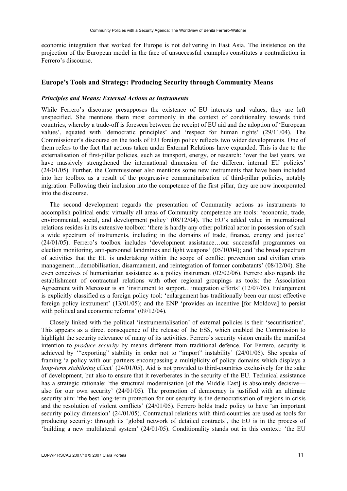economic integration that worked for Europe is not delivering in East Asia. The insistence on the projection of the European model in the face of unsuccessful examples constitutes a contradiction in Ferrero's discourse.

#### **Europe's Tools and Strategy: Producing Security through Community Means**

#### *Principles and Means: External Actions as Instruments*

While Ferrero's discourse presupposes the existence of EU interests and values, they are left unspecified. She mentions them most commonly in the context of conditionality towards third countries, whereby a trade-off is foreseen between the receipt of EU aid and the adoption of 'European values', equated with 'democratic principles' and 'respect for human rights' (29/11/04). The Commissioner's discourse on the tools of EU foreign policy reflects two wider developments. One of them refers to the fact that actions taken under External Relations have expanded. This is due to the externalisation of first-pillar policies, such as transport, energy, or research: 'over the last years, we have massively strengthened the international dimension of the different internal EU policies' (24/01/05). Further, the Commissioner also mentions some new instruments that have been included into her toolbox as a result of the progressive communitarisation of third-pillar policies, notably migration. Following their inclusion into the competence of the first pillar, they are now incorporated into the discourse.

The second development regards the presentation of Community actions as instruments to accomplish political ends: virtually all areas of Community competence are tools: 'economic, trade, environmental, social, and development policy' (08/12/04). The EU's added value in international relations resides in its extensive toolbox: 'there is hardly any other political actor in possession of such a wide spectrum of instruments, including in the domains of trade, finance, energy and justice' (24/01/05). Ferrero's toolbox includes 'development assistance…our successful programmes on election monitoring, anti-personnel landmines and light weapons' (05/10/04); and 'the broad spectrum of activities that the EU is undertaking within the scope of conflict prevention and civilian crisis management…demobilisation, disarmament, and reintegration of former combatants' (08/12/04). She even conceives of humanitarian assistance as a policy instrument (02/02/06). Ferrero also regards the establishment of contractual relations with other regional groupings as tools: the Association Agreement with Mercosur is an 'instrument to support…integration efforts' (12/07/05). Enlargement is explicitly classified as a foreign policy tool: 'enlargement has traditionally been our most effective foreign policy instrument' (13/01/05); and the ENP 'provides an incentive [for Moldova] to persist with political and economic reforms' (09/12/04).

Closely linked with the political 'instrumentalisation' of external policies is their 'securitisation'. This appears as a direct consequence of the release of the ESS, which enabled the Commission to highlight the security relevance of many of its activities. Ferrero's security vision entails the manifest intention to *produce security* by means different from traditional defence. For Ferrero, security is achieved by '"exporting" stability in order not to "import" instability' (24/01/05). She speaks of framing 'a policy with our partners encompassing a multiplicity of policy domains which displays a *long-term stabilising* effect' (24/01/05). Aid is not provided to third-countries exclusively for the sake of development, but also to ensure that it reverberates in the security of the EU. Technical assistance has a strategic rationale: 'the structural modernisation [of the Middle East] is absolutely decisive also for our own security'  $(24/01/05)$ . The promotion of democracy is justified with an ultimate security aim: 'the best long-term protection for our security is the democratisation of regions in crisis and the resolution of violent conflicts' (24/01/05). Ferrero holds trade policy to have 'an important security policy dimension' (24/01/05). Contractual relations with third-countries are used as tools for producing security: through its 'global network of detailed contracts', the EU is in the process of 'building a new multilateral system' (24/01/05). Conditionality stands out in this context: 'the EU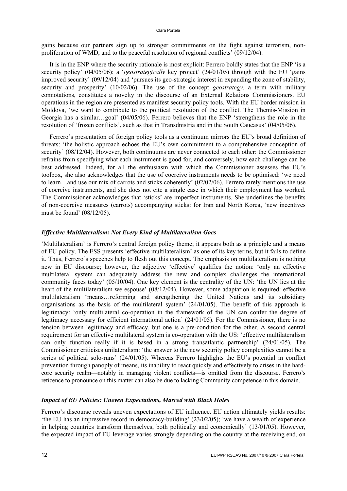#### Clara Portela

gains because our partners sign up to stronger commitments on the fight against terrorism, nonproliferation of WMD, and to the peaceful resolution of regional conflicts' (09/12/04).

It is in the ENP where the security rationale is most explicit: Ferrero boldly states that the ENP 'is a security policy' (04/05/06); a '*geostrategically* key project' (24/01/05) through with the EU 'gains improved security' (09/12/04) and 'pursues its geo-strategic interest in expanding the zone of stability, security and prosperity' (10/02/06). The use of the concept *geostrategy*, a term with military connotations, constitutes a novelty in the discourse of an External Relations Commissioners. EU operations in the region are presented as manifest security policy tools. With the EU border mission in Moldova, 'we want to contribute to the political resolution of the conflict. The Themis-Mission in Georgia has a similar…goal' (04/05/06). Ferrero believes that the ENP 'strengthens the role in the resolution of 'frozen conflicts', such as that in Transdnistria and in the South Caucasus' (04/05/06).

Ferrero's presentation of foreign policy tools as a continuum mirrors the EU's broad definition of threats: 'the holistic approach echoes the EU's own commitment to a comprehensive conception of security' (08/12/04). However, both continuums are never connected to each other: the Commissioner refrains from specifying what each instrument is good for, and conversely, how each challenge can be best addressed. Indeed, for all the enthusiasm with which the Commissioner assesses the EU's toolbox, she also acknowledges that the use of coercive instruments needs to be optimised: 'we need to learn…and use our mix of carrots and sticks coherently' (02/02/06). Ferrero rarely mentions the use of coercive instruments, and she does not cite a single case in which their employment has worked. The Commissioner acknowledges that 'sticks' are imperfect instruments. She underlines the benefits of non-coercive measures (carrots) accompanying sticks: for Iran and North Korea, 'new incentives must be found' (08/12/05).

#### *Effective Multilateralism: Not Every Kind of Multilateralism Goes*

'Multilateralism' is Ferrero's central foreign policy theme; it appears both as a principle and a means of EU policy. The ESS presents 'effective multilateralism' as one of its key terms, but it fails to define it. Thus, Ferrero's speeches help to flesh out this concept. The emphasis on multilateralism is nothing new in EU discourse; however, the adjective 'effective' qualifies the notion: 'only an effective multilateral system can adequately address the new and complex challenges the international community faces today' (05/10/04). One key element is the centrality of the UN: 'the UN lies at the heart of the multilateralism we espouse' (08/12/04). However, some adaptation is required: effective multilateralism 'means…reforming and strengthening the United Nations and its subsidiary organisations as the basis of the multilateral system' (24/01/05). The benefit of this approach is legitimacy: 'only multilateral co-operation in the framework of the UN can confer the degree of legitimacy necessary for efficient international action' (24/01/05). For the Commissioner, there is no tension between legitimacy and efficacy, but one is a pre-condition for the other. A second central requirement for an effective multilateral system is co-operation with the US: 'effective multilateralism can only function really if it is based in a strong transatlantic partnership' (24/01/05). The Commissioner criticises unilateralism: 'the answer to the new security policy complexities cannot be a series of political solo-runs' (24/01/05). Whereas Ferrero highlights the EU's potential in conflict prevention through panoply of means, its inability to react quickly and effectively to crises in the hardcore security realm—notably in managing violent conflicts—is omitted from the discourse. Ferrero's reticence to pronounce on this matter can also be due to lacking Community competence in this domain.

#### *Impact of EU Policies: Uneven Expectations, Marred with Black Holes*

Ferrero's discourse reveals uneven expectations of EU influence. EU action ultimately yields results: 'the EU has an impressive record in democracy-building' (23/02/05); 'we have a wealth of experience in helping countries transform themselves, both politically and economically' (13/01/05). However, the expected impact of EU leverage varies strongly depending on the country at the receiving end, on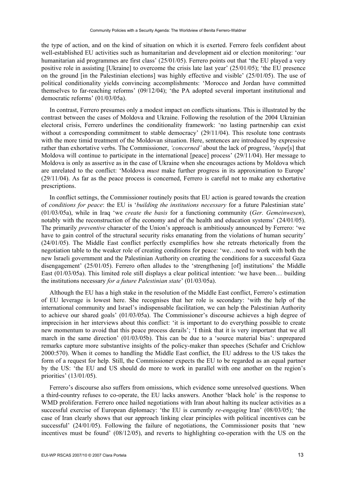the type of action, and on the kind of situation on which it is exerted. Ferrero feels confident about well-established EU activities such as humanitarian and development aid or election monitoring: 'our humanitarian aid programmes are first class' (25/01/05). Ferrero points out that 'the EU played a very positive role in assisting [Ukraine] to overcome the crisis late last year' (25/01/05); 'the EU presence on the ground [in the Palestinian elections] was highly effective and visible' (25/01/05). The use of political conditionality yields convincing accomplishments: 'Morocco and Jordan have committed themselves to far-reaching reforms' (09/12/04); 'the PA adopted several important institutional and democratic reforms' (01/03/05a).

In contrast, Ferrero presumes only a modest impact on conflicts situations. This is illustrated by the contrast between the cases of Moldova and Ukraine. Following the resolution of the 2004 Ukrainian electoral crisis, Ferrero underlines the conditionality framework: 'no lasting partnership can exist without a corresponding commitment to stable democracy' (29/11/04). This resolute tone contrasts with the more timid treatment of the Moldovan situation. Here, sentences are introduced by expressive rather than exhortative verbs. The Commissioner, *'concerned'* about the lack of progress, '*hope*[s] that Moldova will continue to participate in the international [peace] process' (29/11/04). Her message to Moldova is only as assertive as in the case of Ukraine when she encourages actions by Moldova which are unrelated to the conflict: 'Moldova *must* make further progress in its approximation to Europe' (29/11/04). As far as the peace process is concerned, Ferrero is careful not to make any exhortative prescriptions.

In conflict settings, the Commissioner routinely posits that EU action is geared towards the creation of *conditions for peace*: the EU is '*building the institutions necessary* for a future Palestinian state' (01/03/05a), while in Iraq 'we *create the basis* for a functioning community (*Ger. Gemeinwesen*), notably with the reconstruction of the economy and of the health and education systems' (24/01/05). The primarily *preventive* character of the Union's approach is ambitiously announced by Ferrero: 'we have to gain control of the structural security risks emanating from the violations of human security' (24/01/05). The Middle East conflict perfectly exemplifies how she retreats rhetorically from the negotiation table to the weaker role of creating conditions for peace: 'we…need to work with both the new Israeli government and the Palestinian Authority on creating the conditions for a successful Gaza disengagement' (25/01/05). Ferrero often alludes to the 'strengthening [of] institutions' the Middle East (01/03/05a). This limited role still displays a clear political intention: 'we have been… building the institutions necessary *for a future Palestinian state*' (01/03/05a).

Although the EU has a high stake in the resolution of the Middle East conflict, Ferrero's estimation of EU leverage is lowest here. She recognises that her role is secondary: 'with the help of the international community and Israel's indispensable facilitation, we can help the Palestinian Authority to achieve our shared goals' (01/03/05a). The Commissioner's discourse achieves a high degree of imprecision in her interviews about this conflict: 'it is important to do everything possible to create new momentum to avoid that this peace process derails'; 'I think that it is very important that we all march in the same direction' (01/03/05b). This can be due to a 'source material bias': unprepared remarks capture more substantive insights of the policy-maker than speeches (Schafer and Crichlow 2000:570). When it comes to handling the Middle East conflict, the EU address to the US takes the form of a request for help. Still, the Commissioner expects the EU to be regarded as an equal partner by the US: 'the EU and US should do more to work in parallel with one another on the region's priorities' (13/01/05).

Ferrero's discourse also suffers from omissions, which evidence some unresolved questions. When a third-country refuses to co-operate, the EU lacks answers. Another 'black hole' is the response to WMD proliferation. Ferrero once hailed negotiations with Iran about halting its nuclear activities as a successful exercise of European diplomacy: 'the EU is currently *re-engaging* Iran' (08/03/05); 'the case of Iran clearly shows that our approach linking clear principles with political incentives can be successful' (24/01/05). Following the failure of negotiations, the Commissioner posits that 'new incentives must be found' (08/12/05), and reverts to highlighting co-operation with the US on the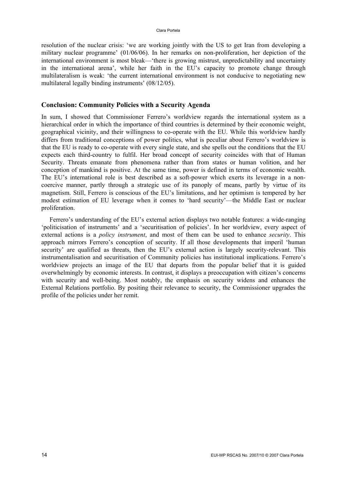resolution of the nuclear crisis: 'we are working jointly with the US to get Iran from developing a military nuclear programme' (01/06/06). In her remarks on non-proliferation, her depiction of the international environment is most bleak—'there is growing mistrust, unpredictability and uncertainty in the international arena', while her faith in the EU's capacity to promote change through multilateralism is weak: 'the current international environment is not conducive to negotiating new multilateral legally binding instruments' (08/12/05).

## **Conclusion: Community Policies with a Security Agenda**

In sum, I showed that Commissioner Ferrero's worldview regards the international system as a hierarchical order in which the importance of third countries is determined by their economic weight, geographical vicinity, and their willingness to co-operate with the EU. While this worldview hardly differs from traditional conceptions of power politics, what is peculiar about Ferrero's worldview is that the EU is ready to co-operate with every single state, and she spells out the conditions that the EU expects each third-country to fulfil. Her broad concept of security coincides with that of Human Security. Threats emanate from phenomena rather than from states or human volition, and her conception of mankind is positive. At the same time, power is defined in terms of economic wealth. The EU's international role is best described as a soft-power which exerts its leverage in a noncoercive manner, partly through a strategic use of its panoply of means, partly by virtue of its magnetism. Still, Ferrero is conscious of the EU's limitations, and her optimism is tempered by her modest estimation of EU leverage when it comes to 'hard security'—the Middle East or nuclear proliferation.

Ferrero's understanding of the EU's external action displays two notable features: a wide-ranging 'politicisation of instruments' and a 'securitisation of policies'. In her worldview, every aspect of external actions is a *policy instrument*, and most of them can be used to enhance *security*. This approach mirrors Ferrero's conception of security. If all those developments that imperil 'human security' are qualified as threats, then the EU's external action is largely security-relevant. This instrumentalisation and securitisation of Community policies has institutional implications. Ferrero's worldview projects an image of the EU that departs from the popular belief that it is guided overwhelmingly by economic interests. In contrast, it displays a preoccupation with citizen's concerns with security and well-being. Most notably, the emphasis on security widens and enhances the External Relations portfolio. By positing their relevance to security, the Commissioner upgrades the profile of the policies under her remit.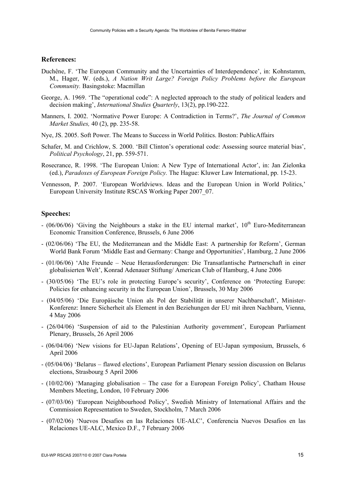### **References:**

- Duchêne, F. 'The European Community and the Uncertainties of Interdependence', in: Kohnstamm, M., Hager, W. (eds.), *A Nation Writ Large? Foreign Policy Problems before the European Community.* Basingstoke: Macmillan
- George, A. 1969. 'The "operational code": A neglected approach to the study of political leaders and decision making', *International Studies Quarterly*, 13(2), pp.190-222.
- Manners, I. 2002. 'Normative Power Europe: A Contradiction in Terms?', *The Journal of Common Market Studies,* 40 (2), pp. 235-58.
- Nye, JS. 2005. Soft Power. The Means to Success in World Politics. Boston: PublicAffairs
- Schafer, M. and Crichlow, S. 2000. 'Bill Clinton's operational code: Assessing source material bias', *Political Psychology*, 21, pp. 559-571.
- Rosecrance, R. 1998. 'The European Union: A New Type of International Actor', in: Jan Zielonka (ed.), *Paradoxes of European Foreign Policy.* The Hague: Kluwer Law International, pp. 15-23.
- Vennesson, P. 2007. 'European Worldviews. Ideas and the European Union in World Politics,' European University Institute RSCAS Working Paper 2007\_07.

#### **Speeches:**

- (06/06/06) 'Giving the Neighbours a stake in the EU internal market',  $10^{th}$  Euro-Mediterranean Economic Transition Conference, Brussels, 6 June 2006
- (02/06/06) 'The EU, the Mediterranean and the Middle East: A partnership for Reform', German World Bank Forum 'Middle East and Germany: Change and Opportunities', Hamburg, 2 June 2006
- (01/06/06) 'Alte Freunde Neue Herausforderungen: Die Transatlantische Partnerschaft in einer globalisierten Welt', Konrad Adenauer Stiftung/ American Club of Hamburg, 4 June 2006
- (30/05/06) 'The EU's role in protecting Europe's security', Conference on 'Protecting Europe: Policies for enhancing security in the European Union', Brussels, 30 May 2006
- (04/05/06) 'Die Europäische Union als Pol der Stabilität in unserer Nachbarschaft', Minister-Konferenz: Innere Sicherheit als Element in den Beziehungen der EU mit ihren Nachbarn, Vienna, 4 May 2006
- (26/04/06) 'Suspension of aid to the Palestinian Authority government', European Parliament Plenary, Brussels, 26 April 2006
- (06/04/06) 'New visions for EU-Japan Relations', Opening of EU-Japan symposium, Brussels, 6 April 2006
- (05/04/06) 'Belarus flawed elections', European Parliament Plenary session discussion on Belarus elections, Strasbourg 5 April 2006
- (10/02/06) 'Managing globalisation The case for a European Foreign Policy', Chatham House Members Meeting, London, 10 February 2006
- (07/03/06) 'European Neighbourhood Policy', Swedish Ministry of International Affairs and the Commission Representation to Sweden, Stockholm, 7 March 2006
- (07/02/06) 'Nuevos Desafios en las Relaciones UE-ALC', Conferencia Nuevos Desafios en las Relaciones UE-ALC, Mexico D.F., 7 February 2006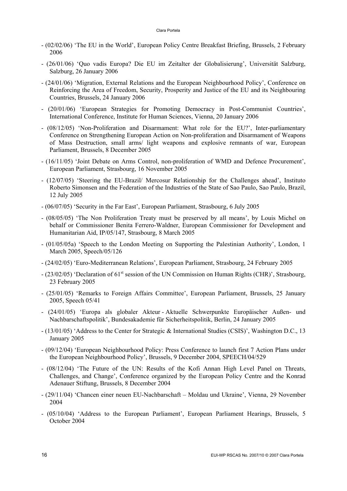- (02/02/06) 'The EU in the World', European Policy Centre Breakfast Briefing, Brussels, 2 February 2006
- (26/01/06) 'Quo vadis Europa? Die EU im Zeitalter der Globalisierung', Universität Salzburg, Salzburg, 26 January 2006
- (24/01/06) 'Migration, External Relations and the European Neighbourhood Policy', Conference on Reinforcing the Area of Freedom, Security, Prosperity and Justice of the EU and its Neighbouring Countries, Brussels, 24 January 2006
- (20/01/06) 'European Strategies for Promoting Democracy in Post-Communist Countries', International Conference, Institute for Human Sciences, Vienna, 20 January 2006
- (08/12/05) 'Non-Proliferation and Disarmament: What role for the EU?', Inter-parliamentary Conference on Strengthening European Action on Non-proliferation and Disarmament of Weapons of Mass Destruction, small arms/ light weapons and explosive remnants of war, European Parliament, Brussels, 8 December 2005
- (16/11/05) 'Joint Debate on Arms Control, non-proliferation of WMD and Defence Procurement', European Parliament, Strasbourg, 16 November 2005
- (12/07/05) 'Steering the EU-Brazil/ Mercosur Relationship for the Challenges ahead', Instituto Roberto Simonsen and the Federation of the Industries of the State of Sao Paulo, Sao Paulo, Brazil, 12 July 2005
- (06/07/05) 'Security in the Far East', European Parliament, Strasbourg, 6 July 2005
- (08/05/05) 'The Non Proliferation Treaty must be preserved by all means', by Louis Michel on behalf or Commissioner Benita Ferrero-Waldner, European Commissioner for Development and Humanitarian Aid, IP/05/147, Strasbourg, 8 March 2005
- (01/05/05a) 'Speech to the London Meeting on Supporting the Palestinian Authority', London, 1 March 2005, Speech/05/126
- (24/02/05) 'Euro-Mediterranean Relations', European Parliament, Strasbourg, 24 February 2005
- (23/02/05) 'Declaration of 61st session of the UN Commission on Human Rights (CHR)', Strasbourg, 23 February 2005
- (25/01/05) 'Remarks to Foreign Affairs Committee', European Parliament, Brussels, 25 January 2005, Speech 05/41
- (24/01/05) 'Europa als globaler Akteur Aktuelle Schwerpunkte Europäischer Außen- und Nachbarschaftspolitik', Bundesakademie für Sicherheitspolitik, Berlin, 24 January 2005
- (13/01/05) 'Address to the Center for Strategic & International Studies (CSIS)', Washington D.C., 13 January 2005
- (09/12/04) 'European Neighbourhood Policy: Press Conference to launch first 7 Action Plans under the European Neighbourhood Policy', Brussels, 9 December 2004, SPEECH/04/529
- (08/12/04) 'The Future of the UN: Results of the Kofi Annan High Level Panel on Threats, Challenges, and Change', Conference organized by the European Policy Centre and the Konrad Adenauer Stiftung, Brussels, 8 December 2004
- (29/11/04) 'Chancen einer neuen EU-Nachbarschaft Moldau und Ukraine', Vienna, 29 November 2004
- (05/10/04) 'Address to the European Parliament', European Parliament Hearings, Brussels, 5 October 2004